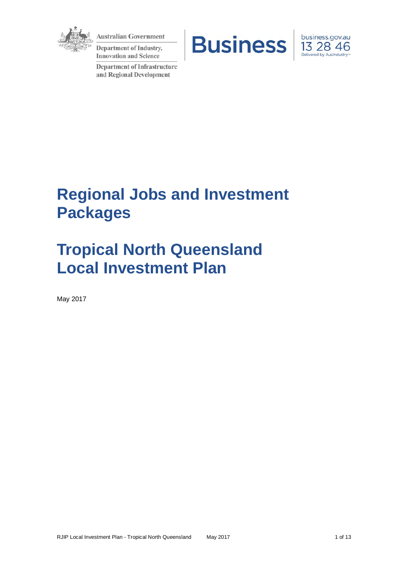

**Australian Government** 

**Department of Industry, Innovation and Science** 

**Department of Infrastructure** and Regional Development





# **Regional Jobs and Investment Packages**

# **Tropical North Queensland Local Investment Plan**

May 2017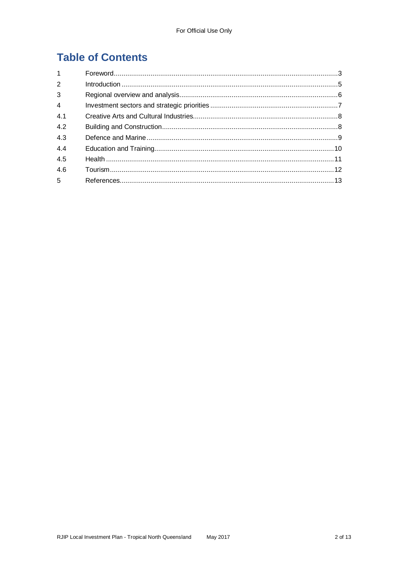# **Table of Contents**

| 1              |  |
|----------------|--|
| 2              |  |
| 3              |  |
| $\overline{4}$ |  |
| 4.1            |  |
| 4.2            |  |
| 4.3            |  |
| 4.4            |  |
| 4.5            |  |
| 4.6            |  |
| 5 <sup>5</sup> |  |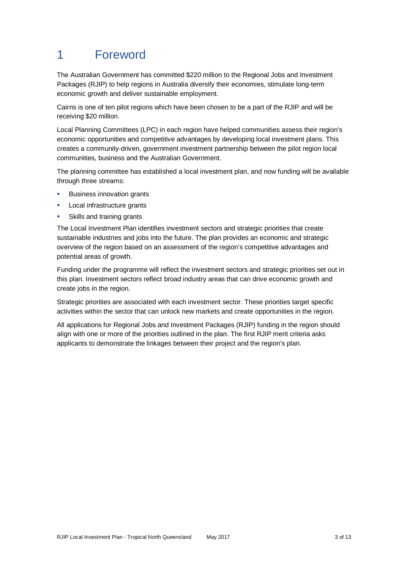# 1 Foreword

The Australian Government has committed \$220 million to the Regional Jobs and Investment Packages (RJIP) to help regions in Australia diversify their economies, stimulate long-term economic growth and deliver sustainable employment.

Cairns is one of ten pilot regions which have been chosen to be a part of the RJIP and will be receiving \$20 million.

Local Planning Committees (LPC) in each region have helped communities assess their region's economic opportunities and competitive advantages by developing local investment plans. This creates a community-driven, government investment partnership between the pilot region local communities, business and the Australian Government.

The planning committee has established a local investment plan, and now funding will be available through three streams:

- Business innovation grants
- **Local infrastructure grants**
- Skills and training grants

The Local Investment Plan identifies investment sectors and strategic priorities that create sustainable industries and jobs into the future. The plan provides an economic and strategic overview of the region based on an assessment of the region's competitive advantages and potential areas of growth.

Funding under the programme will reflect the investment sectors and strategic priorities set out in this plan. Investment sectors reflect broad industry areas that can drive economic growth and create jobs in the region.

Strategic priorities are associated with each investment sector. These priorities target specific activities within the sector that can unlock new markets and create opportunities in the region.

All applications for Regional Jobs and Investment Packages (RJIP) funding in the region should align with one or more of the priorities outlined in the plan. The first RJIP merit criteria asks applicants to demonstrate the linkages between their project and the region's plan.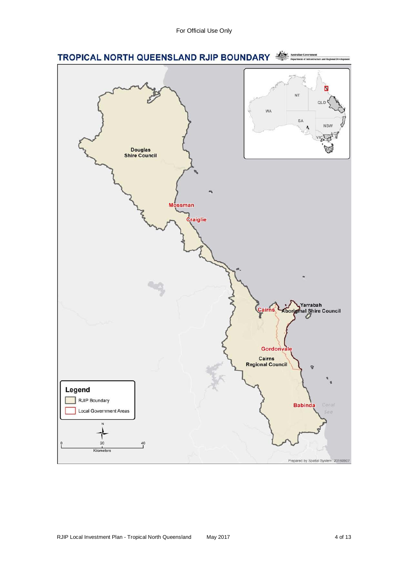For Official Use Only

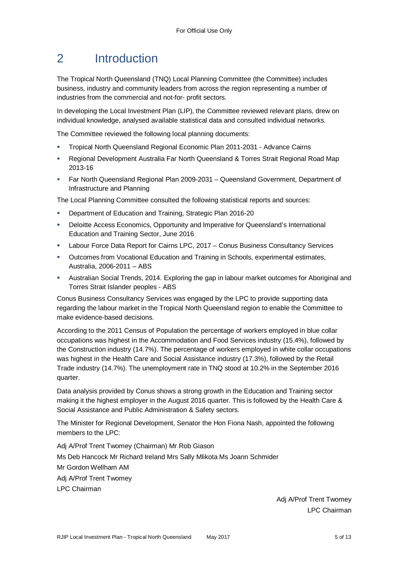# 2 Introduction

The Tropical North Queensland (TNQ) Local Planning Committee (the Committee) includes business, industry and community leaders from across the region representing a number of industries from the commercial and not-for- profit sectors.

In developing the Local Investment Plan (LIP), the Committee reviewed relevant plans, drew on individual knowledge, analysed available statistical data and consulted individual networks.

The Committee reviewed the following local planning documents:

- Tropical North Queensland Regional Economic Plan 2011-2031 Advance Cairns
- Regional Development Australia Far North Queensland & Torres Strait Regional Road Map 2013-16
- Far North Queensland Regional Plan 2009-2031 Queensland Government, Department of Infrastructure and Planning

The Local Planning Committee consulted the following statistical reports and sources:

- Department of Education and Training, Strategic Plan 2016-20
- Deloitte Access Economics, Opportunity and Imperative for Queensland's International Education and Training Sector, June 2016
- Labour Force Data Report for Cairns LPC, 2017 Conus Business Consultancy Services
- **Dutcomes from Vocational Education and Training in Schools, experimental estimates,** Australia, 2006-2011 – ABS
- Australian Social Trends, 2014. Exploring the gap in labour market outcomes for Aboriginal and Torres Strait Islander peoples - ABS

Conus Business Consultancy Services was engaged by the LPC to provide supporting data regarding the labour market in the Tropical North Queensland region to enable the Committee to make evidence-based decisions.

According to the 2011 Census of Population the percentage of workers employed in blue collar occupations was highest in the Accommodation and Food Services industry (15.4%), followed by the Construction industry (14.7%). The percentage of workers employed in white collar occupations was highest in the Health Care and Social Assistance industry (17.3%), followed by the Retail Trade industry (14.7%). The unemployment rate in TNQ stood at 10.2% in the September 2016 quarter.

Data analysis provided by Conus shows a strong growth in the Education and Training sector making it the highest employer in the August 2016 quarter. This is followed by the Health Care & Social Assistance and Public Administration & Safety sectors.

The Minister for Regional Development, Senator the Hon Fiona Nash, appointed the following members to the LPC:

Adj A/Prof Trent Twomey (Chairman) Mr Rob Giason Ms Deb Hancock Mr Richard Ireland Mrs Sally Mlikota Ms Joann Schmider Mr Gordon Wellham AM Adj A/Prof Trent Twomey LPC Chairman

> Adj A/Prof Trent Twomey LPC Chairman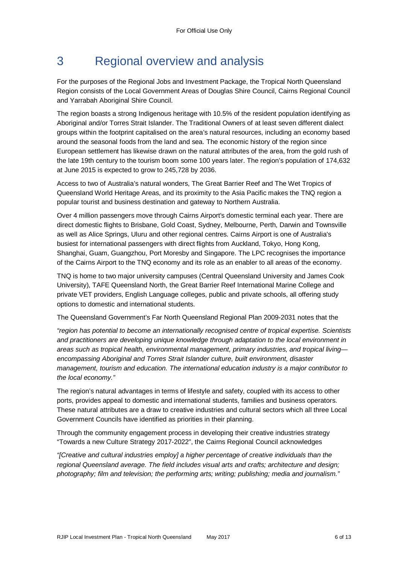# 3 Regional overview and analysis

For the purposes of the Regional Jobs and Investment Package, the Tropical North Queensland Region consists of the Local Government Areas of Douglas Shire Council, Cairns Regional Council and Yarrabah Aboriginal Shire Council.

The region boasts a strong Indigenous heritage with 10.5% of the resident population identifying as Aboriginal and/or Torres Strait Islander. The Traditional Owners of at least seven different dialect groups within the footprint capitalised on the area's natural resources, including an economy based around the seasonal foods from the land and sea. The economic history of the region since European settlement has likewise drawn on the natural attributes of the area, from the gold rush of the late 19th century to the tourism boom some 100 years later. The region's population of 174,632 at June 2015 is expected to grow to 245,728 by 2036.

Access to two of Australia's natural wonders, The Great Barrier Reef and The Wet Tropics of Queensland World Heritage Areas, and its proximity to the Asia Pacific makes the TNQ region a popular tourist and business destination and gateway to Northern Australia.

Over 4 million passengers move through Cairns Airport's domestic terminal each year. There are direct domestic flights to Brisbane, Gold Coast, Sydney, Melbourne, Perth, Darwin and Townsville as well as Alice Springs, Uluru and other regional centres. Cairns Airport is one of Australia's busiest for international passengers with direct flights from Auckland, Tokyo, Hong Kong, Shanghai, Guam, Guangzhou, Port Moresby and Singapore. The LPC recognises the importance of the Cairns Airport to the TNQ economy and its role as an enabler to all areas of the economy.

TNQ is home to two major university campuses (Central Queensland University and James Cook University), TAFE Queensland North, the Great Barrier Reef International Marine College and private VET providers, English Language colleges, public and private schools, all offering study options to domestic and international students.

The Queensland Government's Far North Queensland Regional Plan 2009-2031 notes that the

*"region has potential to become an internationally recognised centre of tropical expertise. Scientists and practitioners are developing unique knowledge through adaptation to the local environment in areas such as tropical health, environmental management, primary industries, and tropical living encompassing Aboriginal and Torres Strait Islander culture, built environment, disaster management, tourism and education. The international education industry is a major contributor to the local economy."*

The region's natural advantages in terms of lifestyle and safety, coupled with its access to other ports, provides appeal to domestic and international students, families and business operators. These natural attributes are a draw to creative industries and cultural sectors which all three Local Government Councils have identified as priorities in their planning.

Through the community engagement process in developing their creative industries strategy "Towards a new Culture Strategy 2017-2022", the Cairns Regional Council acknowledges

*"[Creative and cultural industries employ] a higher percentage of creative individuals than the regional Queensland average. The field includes visual arts and crafts; architecture and design; photography; film and television; the performing arts; writing; publishing; media and journalism."*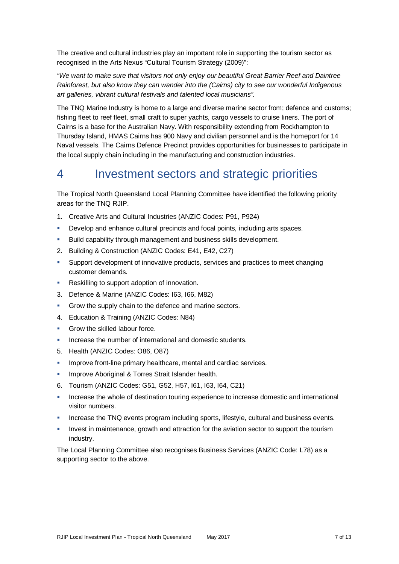The creative and cultural industries play an important role in supporting the tourism sector as recognised in the Arts Nexus "Cultural Tourism Strategy (2009)":

*"We want to make sure that visitors not only enjoy our beautiful Great Barrier Reef and Daintree Rainforest, but also know they can wander into the (Cairns) city to see our wonderful Indigenous art galleries, vibrant cultural festivals and talented local musicians".*

The TNQ Marine Industry is home to a large and diverse marine sector from; defence and customs; fishing fleet to reef fleet, small craft to super yachts, cargo vessels to cruise liners. The port of Cairns is a base for the Australian Navy. With responsibility extending from Rockhampton to Thursday Island, HMAS Cairns has 900 Navy and civilian personnel and is the homeport for 14 Naval vessels. The Cairns Defence Precinct provides opportunities for businesses to participate in the local supply chain including in the manufacturing and construction industries.

# 4 Investment sectors and strategic priorities

The Tropical North Queensland Local Planning Committee have identified the following priority areas for the TNQ RJIP.

- 1. Creative Arts and Cultural Industries (ANZIC Codes: P91, P924)
- **Develop and enhance cultural precincts and focal points, including arts spaces.**
- Build capability through management and business skills development.
- 2. Building & Construction (ANZIC Codes: E41, E42, C27)
- Support development of innovative products, services and practices to meet changing customer demands.
- **Reskilling to support adoption of innovation.**
- 3. Defence & Marine (ANZIC Codes: I63, I66, M82)
- Grow the supply chain to the defence and marine sectors.
- 4. Education & Training (ANZIC Codes: N84)
- Grow the skilled labour force.
- **Increase the number of international and domestic students.**
- 5. Health (ANZIC Codes: O86, O87)
- **IMPROVE front-line primary healthcare, mental and cardiac services.**
- Improve Aboriginal & Torres Strait Islander health.
- 6. Tourism (ANZIC Codes: G51, G52, H57, I61, I63, I64, C21)
- Increase the whole of destination touring experience to increase domestic and international visitor numbers.
- Increase the TNQ events program including sports, lifestyle, cultural and business events.
- Invest in maintenance, growth and attraction for the aviation sector to support the tourism industry.

The Local Planning Committee also recognises Business Services (ANZIC Code: L78) as a supporting sector to the above.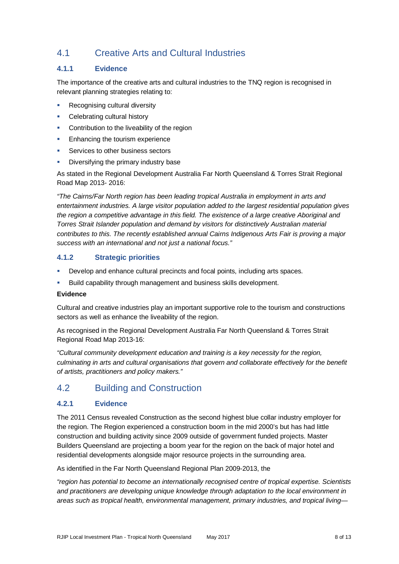# 4.1 Creative Arts and Cultural Industries

# **4.1.1 Evidence**

The importance of the creative arts and cultural industries to the TNQ region is recognised in relevant planning strategies relating to:

- **Recognising cultural diversity**
- Celebrating cultural history
- Contribution to the liveability of the region
- Enhancing the tourism experience
- Services to other business sectors
- Diversifying the primary industry base

As stated in the Regional Development Australia Far North Queensland & Torres Strait Regional Road Map 2013- 2016:

*"The Cairns/Far North region has been leading tropical Australia in employment in arts and entertainment industries. A large visitor population added to the largest residential population gives the region a competitive advantage in this field. The existence of a large creative Aboriginal and Torres Strait Islander population and demand by visitors for distinctively Australian material contributes to this. The recently established annual Cairns Indigenous Arts Fair is proving a major success with an international and not just a national focus."*

# **4.1.2 Strategic priorities**

- **Develop and enhance cultural precincts and focal points, including arts spaces.**
- Build capability through management and business skills development.

### **Evidence**

Cultural and creative industries play an important supportive role to the tourism and constructions sectors as well as enhance the liveability of the region.

As recognised in the Regional Development Australia Far North Queensland & Torres Strait Regional Road Map 2013-16:

*"Cultural community development education and training is a key necessity for the region, culminating in arts and cultural organisations that govern and collaborate effectively for the benefit of artists, practitioners and policy makers."*

# 4.2 Building and Construction

# **4.2.1 Evidence**

The 2011 Census revealed Construction as the second highest blue collar industry employer for the region. The Region experienced a construction boom in the mid 2000's but has had little construction and building activity since 2009 outside of government funded projects. Master Builders Queensland are projecting a boom year for the region on the back of major hotel and residential developments alongside major resource projects in the surrounding area.

As identified in the Far North Queensland Regional Plan 2009-2013, the

*"region has potential to become an internationally recognised centre of tropical expertise. Scientists and practitioners are developing unique knowledge through adaptation to the local environment in areas such as tropical health, environmental management, primary industries, and tropical living—*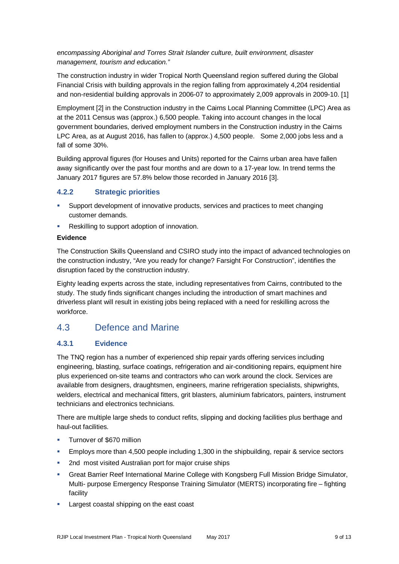*encompassing Aboriginal and Torres Strait Islander culture, built environment, disaster management, tourism and education."*

The construction industry in wider Tropical North Queensland region suffered during the Global Financial Crisis with building approvals in the region falling from approximately 4,204 residential and non-residential building approvals in 2006-07 to approximately 2,009 approvals in 2009-10. [1]

Employment [2] in the Construction industry in the Cairns Local Planning Committee (LPC) Area as at the 2011 Census was (approx.) 6,500 people. Taking into account changes in the local government boundaries, derived employment numbers in the Construction industry in the Cairns LPC Area, as at August 2016, has fallen to (approx.) 4,500 people. Some 2,000 jobs less and a fall of some 30%.

Building approval figures (for Houses and Units) reported for the Cairns urban area have fallen away significantly over the past four months and are down to a 17-year low. In trend terms the January 2017 figures are 57.8% below those recorded in January 2016 [3].

# **4.2.2 Strategic priorities**

- Support development of innovative products, services and practices to meet changing customer demands.
- Reskilling to support adoption of innovation.

#### **Evidence**

The Construction Skills Queensland and CSIRO study into the impact of advanced technologies on the construction industry, "Are you ready for change? Farsight For Construction", identifies the disruption faced by the construction industry.

Eighty leading experts across the state, including representatives from Cairns, contributed to the study. The study finds significant changes including the introduction of smart machines and driverless plant will result in existing jobs being replaced with a need for reskilling across the workforce.

# 4.3 Defence and Marine

# **4.3.1 Evidence**

The TNQ region has a number of experienced ship repair yards offering services including engineering, blasting, surface coatings, refrigeration and air-conditioning repairs, equipment hire plus experienced on-site teams and contractors who can work around the clock. Services are available from designers, draughtsmen, engineers, marine refrigeration specialists, shipwrights, welders, electrical and mechanical fitters, grit blasters, aluminium fabricators, painters, instrument technicians and electronics technicians.

There are multiple large sheds to conduct refits, slipping and docking facilities plus berthage and haul-out facilities.

- Turnover of \$670 million
- Employs more than 4,500 people including 1,300 in the shipbuilding, repair & service sectors
- 2nd most visited Australian port for major cruise ships
- Great Barrier Reef International Marine College with Kongsberg Full Mission Bridge Simulator, Multi- purpose Emergency Response Training Simulator (MERTS) incorporating fire – fighting facility
- **Largest coastal shipping on the east coast**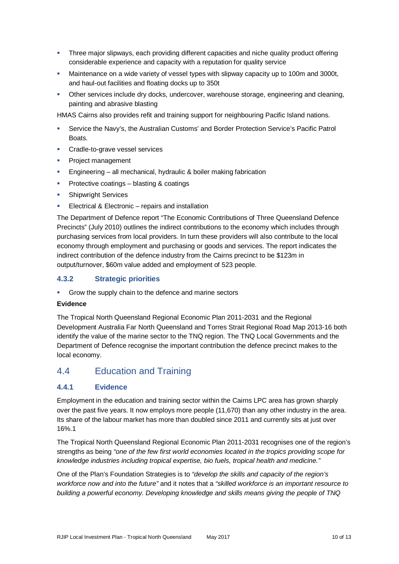- Three major slipways, each providing different capacities and niche quality product offering considerable experience and capacity with a reputation for quality service
- Maintenance on a wide variety of vessel types with slipway capacity up to 100m and 3000t, and haul-out facilities and floating docks up to 350t
- Other services include dry docks, undercover, warehouse storage, engineering and cleaning, painting and abrasive blasting

HMAS Cairns also provides refit and training support for neighbouring Pacific Island nations.

- Service the Navy's, the Australian Customs' and Border Protection Service's Pacific Patrol **Boats**
- **Cradle-to-grave vessel services**
- **Project management**
- **Engineering all mechanical, hydraulic & boiler making fabrication**
- **Protective coatings blasting & coatings**
- **Shipwright Services**
- Electrical & Electronic repairs and installation

The Department of Defence report "The Economic Contributions of Three Queensland Defence Precincts" (July 2010) outlines the indirect contributions to the economy which includes through purchasing services from local providers. In turn these providers will also contribute to the local economy through employment and purchasing or goods and services. The report indicates the indirect contribution of the defence industry from the Cairns precinct to be \$123m in output/turnover, \$60m value added and employment of 523 people.

# **4.3.2 Strategic priorities**

**Grow the supply chain to the defence and marine sectors** 

#### **Evidence**

The Tropical North Queensland Regional Economic Plan 2011-2031 and the Regional Development Australia Far North Queensland and Torres Strait Regional Road Map 2013-16 both identify the value of the marine sector to the TNQ region. The TNQ Local Governments and the Department of Defence recognise the important contribution the defence precinct makes to the local economy.

# 4.4 Education and Training

# **4.4.1 Evidence**

Employment in the education and training sector within the Cairns LPC area has grown sharply over the past five years. It now employs more people (11,670) than any other industry in the area. Its share of the labour market has more than doubled since 2011 and currently sits at just over 16%.1

The Tropical North Queensland Regional Economic Plan 2011-2031 recognises one of the region's strengths as being *"one of the few first world economies located in the tropics providing scope for knowledge industries including tropical expertise, bio fuels, tropical health and medicine."*

One of the Plan's Foundation Strategies is to *"develop the skills and capacity of the region's workforce now and into the future"* and it notes that a *"skilled workforce is an important resource to building a powerful economy. Developing knowledge and skills means giving the people of TNQ*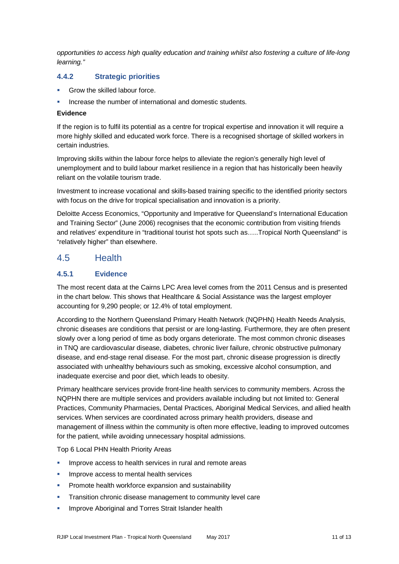*opportunities to access high quality education and training whilst also fostering a culture of life-long learning."*

# **4.4.2 Strategic priorities**

- Grow the skilled labour force.
- Increase the number of international and domestic students.

#### **Evidence**

If the region is to fulfil its potential as a centre for tropical expertise and innovation it will require a more highly skilled and educated work force. There is a recognised shortage of skilled workers in certain industries.

Improving skills within the labour force helps to alleviate the region's generally high level of unemployment and to build labour market resilience in a region that has historically been heavily reliant on the volatile tourism trade.

Investment to increase vocational and skills-based training specific to the identified priority sectors with focus on the drive for tropical specialisation and innovation is a priority.

Deloitte Access Economics, "Opportunity and Imperative for Queensland's International Education and Training Sector" (June 2006) recognises that the economic contribution from visiting friends and relatives' expenditure in "traditional tourist hot spots such as…..Tropical North Queensland" is "relatively higher" than elsewhere.

# 4.5 Health

### **4.5.1 Evidence**

The most recent data at the Cairns LPC Area level comes from the 2011 Census and is presented in the chart below. This shows that Healthcare & Social Assistance was the largest employer accounting for 9,290 people; or 12.4% of total employment.

According to the Northern Queensland Primary Health Network (NQPHN) Health Needs Analysis, chronic diseases are conditions that persist or are long-lasting. Furthermore, they are often present slowly over a long period of time as body organs deteriorate. The most common chronic diseases in TNQ are cardiovascular disease, diabetes, chronic liver failure, chronic obstructive pulmonary disease, and end-stage renal disease. For the most part, chronic disease progression is directly associated with unhealthy behaviours such as smoking, excessive alcohol consumption, and inadequate exercise and poor diet, which leads to obesity.

Primary healthcare services provide front-line health services to community members. Across the NQPHN there are multiple services and providers available including but not limited to: General Practices, Community Pharmacies, Dental Practices, Aboriginal Medical Services, and allied health services. When services are coordinated across primary health providers, disease and management of illness within the community is often more effective, leading to improved outcomes for the patient, while avoiding unnecessary hospital admissions.

Top 6 Local PHN Health Priority Areas

- Improve access to health services in rural and remote areas
- Improve access to mental health services
- Promote health workforce expansion and sustainability
- **Transition chronic disease management to community level care**
- **Improve Aboriginal and Torres Strait Islander health**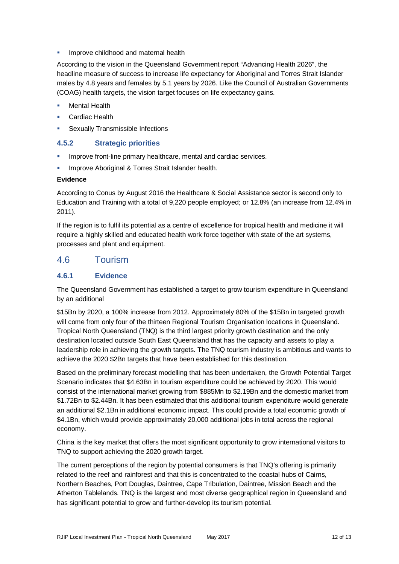Improve childhood and maternal health

According to the vision in the Queensland Government report "Advancing Health 2026", the headline measure of success to increase life expectancy for Aboriginal and Torres Strait Islander males by 4.8 years and females by 5.1 years by 2026. Like the Council of Australian Governments (COAG) health targets, the vision target focuses on life expectancy gains.

- Mental Health
- Cardiac Health
- **Sexually Transmissible Infections**

# **4.5.2 Strategic priorities**

- **IMPROVE front-line primary healthcare, mental and cardiac services.**
- Improve Aboriginal & Torres Strait Islander health.

#### **Evidence**

According to Conus by August 2016 the Healthcare & Social Assistance sector is second only to Education and Training with a total of 9,220 people employed; or 12.8% (an increase from 12.4% in 2011).

If the region is to fulfil its potential as a centre of excellence for tropical health and medicine it will require a highly skilled and educated health work force together with state of the art systems, processes and plant and equipment.

# 4.6 Tourism

# **4.6.1 Evidence**

The Queensland Government has established a target to grow tourism expenditure in Queensland by an additional

\$15Bn by 2020, a 100% increase from 2012. Approximately 80% of the \$15Bn in targeted growth will come from only four of the thirteen Regional Tourism Organisation locations in Queensland. Tropical North Queensland (TNQ) is the third largest priority growth destination and the only destination located outside South East Queensland that has the capacity and assets to play a leadership role in achieving the growth targets. The TNQ tourism industry is ambitious and wants to achieve the 2020 \$2Bn targets that have been established for this destination.

Based on the preliminary forecast modelling that has been undertaken, the Growth Potential Target Scenario indicates that \$4.63Bn in tourism expenditure could be achieved by 2020. This would consist of the international market growing from \$885Mn to \$2.19Bn and the domestic market from \$1.72Bn to \$2.44Bn. It has been estimated that this additional tourism expenditure would generate an additional \$2.1Bn in additional economic impact. This could provide a total economic growth of \$4.1Bn, which would provide approximately 20,000 additional jobs in total across the regional economy.

China is the key market that offers the most significant opportunity to grow international visitors to TNQ to support achieving the 2020 growth target.

The current perceptions of the region by potential consumers is that TNQ's offering is primarily related to the reef and rainforest and that this is concentrated to the coastal hubs of Cairns, Northern Beaches, Port Douglas, Daintree, Cape Tribulation, Daintree, Mission Beach and the Atherton Tablelands. TNQ is the largest and most diverse geographical region in Queensland and has significant potential to grow and further-develop its tourism potential.